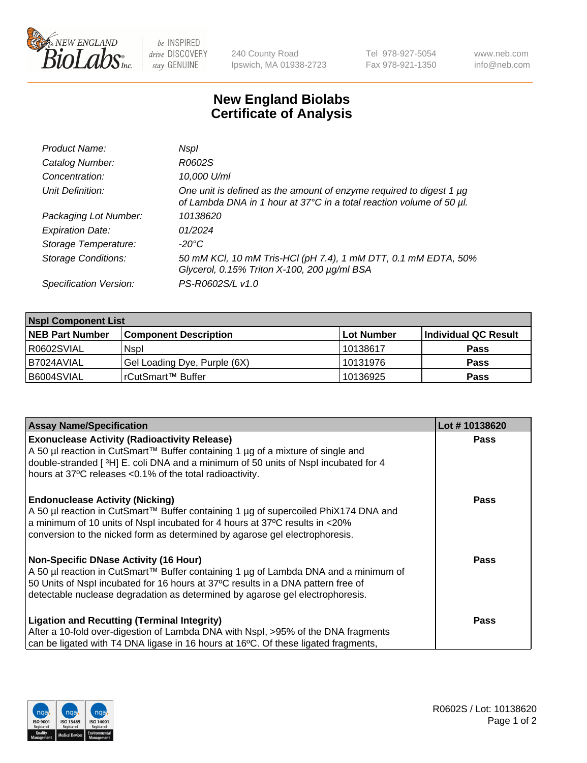

be INSPIRED drive DISCOVERY stay GENUINE

240 County Road Ipswich, MA 01938-2723 Tel 978-927-5054 Fax 978-921-1350 www.neb.com info@neb.com

## **New England Biolabs Certificate of Analysis**

| Product Name:              | Nspl                                                                                                                                        |
|----------------------------|---------------------------------------------------------------------------------------------------------------------------------------------|
| Catalog Number:            | R0602S                                                                                                                                      |
| Concentration:             | 10,000 U/ml                                                                                                                                 |
| Unit Definition:           | One unit is defined as the amount of enzyme required to digest 1 µg<br>of Lambda DNA in 1 hour at 37°C in a total reaction volume of 50 µl. |
| Packaging Lot Number:      | 10138620                                                                                                                                    |
| <b>Expiration Date:</b>    | 01/2024                                                                                                                                     |
| Storage Temperature:       | -20°C                                                                                                                                       |
| <b>Storage Conditions:</b> | 50 mM KCl, 10 mM Tris-HCl (pH 7.4), 1 mM DTT, 0.1 mM EDTA, 50%<br>Glycerol, 0.15% Triton X-100, 200 µg/ml BSA                               |
| Specification Version:     | PS-R0602S/L v1.0                                                                                                                            |

| <b>Nspl Component List</b> |                              |                   |                      |  |  |
|----------------------------|------------------------------|-------------------|----------------------|--|--|
| <b>NEB Part Number</b>     | <b>Component Description</b> | <b>Lot Number</b> | Individual QC Result |  |  |
| R0602SVIAL                 | <b>Nspl</b>                  | 10138617          | <b>Pass</b>          |  |  |
| B7024AVIAL                 | Gel Loading Dye, Purple (6X) | 10131976          | <b>Pass</b>          |  |  |
| B6004SVIAL                 | l rCutSmart™ Buffer          | 10136925          | <b>Pass</b>          |  |  |

| <b>Assay Name/Specification</b>                                                                                                                                       | Lot #10138620 |
|-----------------------------------------------------------------------------------------------------------------------------------------------------------------------|---------------|
| <b>Exonuclease Activity (Radioactivity Release)</b>                                                                                                                   | <b>Pass</b>   |
| A 50 µl reaction in CutSmart™ Buffer containing 1 µg of a mixture of single and<br>double-stranded [3H] E. coli DNA and a minimum of 50 units of Nspl incubated for 4 |               |
| hours at 37°C releases <0.1% of the total radioactivity.                                                                                                              |               |
| <b>Endonuclease Activity (Nicking)</b>                                                                                                                                | <b>Pass</b>   |
| A 50 µl reaction in CutSmart™ Buffer containing 1 µg of supercoiled PhiX174 DNA and<br>a minimum of 10 units of Nspl incubated for 4 hours at 37°C results in <20%    |               |
| conversion to the nicked form as determined by agarose gel electrophoresis.                                                                                           |               |
| Non-Specific DNase Activity (16 Hour)                                                                                                                                 | Pass          |
| A 50 µl reaction in CutSmart™ Buffer containing 1 µg of Lambda DNA and a minimum of                                                                                   |               |
| 50 Units of Nspl incubated for 16 hours at 37°C results in a DNA pattern free of<br>detectable nuclease degradation as determined by agarose gel electrophoresis.     |               |
| <b>Ligation and Recutting (Terminal Integrity)</b>                                                                                                                    | Pass          |
| After a 10-fold over-digestion of Lambda DNA with Nspl, >95% of the DNA fragments                                                                                     |               |
| can be ligated with T4 DNA ligase in 16 hours at 16°C. Of these ligated fragments,                                                                                    |               |